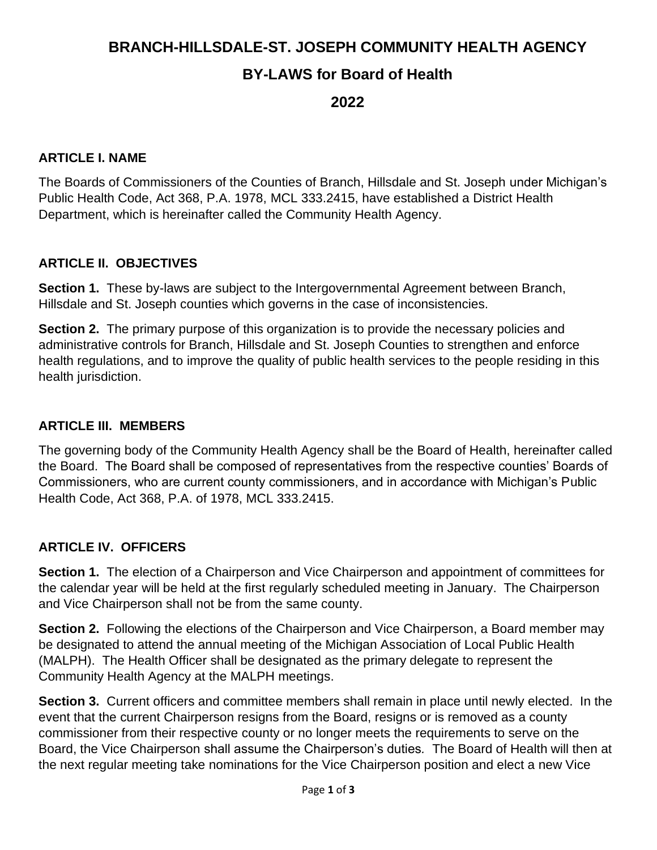# **BRANCH-HILLSDALE-ST. JOSEPH COMMUNITY HEALTH AGENCY**

## **BY-LAWS for Board of Health**

**2022**

### **ARTICLE I. NAME**

The Boards of Commissioners of the Counties of Branch, Hillsdale and St. Joseph under Michigan's Public Health Code, Act 368, P.A. 1978, MCL 333.2415, have established a District Health Department, which is hereinafter called the Community Health Agency.

#### **ARTICLE II. OBJECTIVES**

**Section 1.** These by-laws are subject to the Intergovernmental Agreement between Branch, Hillsdale and St. Joseph counties which governs in the case of inconsistencies.

**Section 2.** The primary purpose of this organization is to provide the necessary policies and administrative controls for Branch, Hillsdale and St. Joseph Counties to strengthen and enforce health regulations, and to improve the quality of public health services to the people residing in this health jurisdiction.

#### **ARTICLE III. MEMBERS**

The governing body of the Community Health Agency shall be the Board of Health, hereinafter called the Board. The Board shall be composed of representatives from the respective counties' Boards of Commissioners, who are current county commissioners, and in accordance with Michigan's Public Health Code, Act 368, P.A. of 1978, MCL 333.2415.

### **ARTICLE IV. OFFICERS**

**Section 1.** The election of a Chairperson and Vice Chairperson and appointment of committees for the calendar year will be held at the first regularly scheduled meeting in January. The Chairperson and Vice Chairperson shall not be from the same county.

**Section 2.** Following the elections of the Chairperson and Vice Chairperson, a Board member may be designated to attend the annual meeting of the Michigan Association of Local Public Health (MALPH). The Health Officer shall be designated as the primary delegate to represent the Community Health Agency at the MALPH meetings.

**Section 3.** Current officers and committee members shall remain in place until newly elected. In the event that the current Chairperson resigns from the Board, resigns or is removed as a county commissioner from their respective county or no longer meets the requirements to serve on the Board, the Vice Chairperson shall assume the Chairperson's duties*.* The Board of Health will then at the next regular meeting take nominations for the Vice Chairperson position and elect a new Vice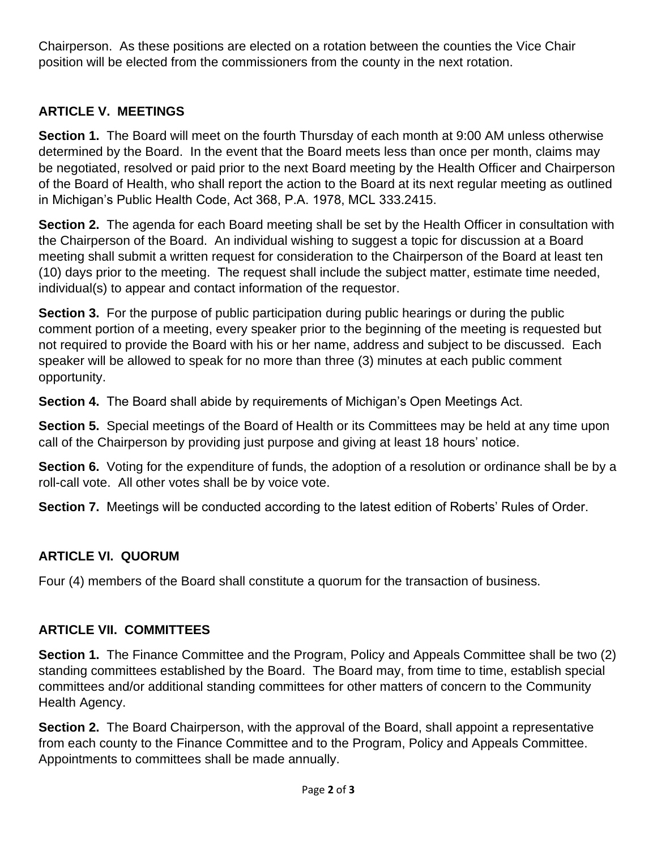Chairperson. As these positions are elected on a rotation between the counties the Vice Chair position will be elected from the commissioners from the county in the next rotation.

## **ARTICLE V. MEETINGS**

**Section 1.** The Board will meet on the fourth Thursday of each month at 9:00 AM unless otherwise determined by the Board. In the event that the Board meets less than once per month, claims may be negotiated, resolved or paid prior to the next Board meeting by the Health Officer and Chairperson of the Board of Health, who shall report the action to the Board at its next regular meeting as outlined in Michigan's Public Health Code, Act 368, P.A. 1978, MCL 333.2415.

**Section 2.** The agenda for each Board meeting shall be set by the Health Officer in consultation with the Chairperson of the Board. An individual wishing to suggest a topic for discussion at a Board meeting shall submit a written request for consideration to the Chairperson of the Board at least ten (10) days prior to the meeting. The request shall include the subject matter, estimate time needed, individual(s) to appear and contact information of the requestor.

**Section 3.** For the purpose of public participation during public hearings or during the public comment portion of a meeting, every speaker prior to the beginning of the meeting is requested but not required to provide the Board with his or her name, address and subject to be discussed. Each speaker will be allowed to speak for no more than three (3) minutes at each public comment opportunity.

**Section 4.** The Board shall abide by requirements of Michigan's Open Meetings Act.

**Section 5.** Special meetings of the Board of Health or its Committees may be held at any time upon call of the Chairperson by providing just purpose and giving at least 18 hours' notice.

**Section 6.** Voting for the expenditure of funds, the adoption of a resolution or ordinance shall be by a roll-call vote. All other votes shall be by voice vote.

**Section 7.** Meetings will be conducted according to the latest edition of Roberts' Rules of Order.

## **ARTICLE VI. QUORUM**

Four (4) members of the Board shall constitute a quorum for the transaction of business.

### **ARTICLE VII. COMMITTEES**

**Section 1.** The Finance Committee and the Program, Policy and Appeals Committee shall be two (2) standing committees established by the Board. The Board may, from time to time, establish special committees and/or additional standing committees for other matters of concern to the Community Health Agency.

**Section 2.** The Board Chairperson, with the approval of the Board, shall appoint a representative from each county to the Finance Committee and to the Program, Policy and Appeals Committee. Appointments to committees shall be made annually.